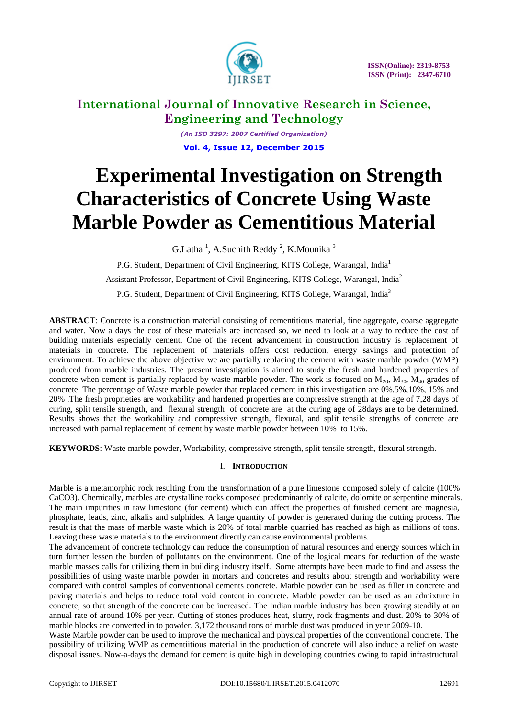

*(An ISO 3297: 2007 Certified Organization)* **Vol. 4, Issue 12, December 2015**

# **Experimental Investigation on Strength Characteristics of Concrete Using Waste Marble Powder as Cementitious Material**

G.Latha<sup>1</sup>, A.Suchith Reddy<sup>2</sup>, K.Mounika<sup>3</sup>

P.G. Student, Department of Civil Engineering, KITS College, Warangal, India<sup>1</sup>

Assistant Professor, Department of Civil Engineering, KITS College, Warangal, India<sup>2</sup>

P.G. Student, Department of Civil Engineering, KITS College, Warangal, India<sup>3</sup>

**ABSTRACT**: Concrete is a construction material consisting of cementitious material, fine aggregate, coarse aggregate and water. Now a days the cost of these materials are increased so, we need to look at a way to reduce the cost of building materials especially cement. One of the recent advancement in construction industry is replacement of materials in concrete. The replacement of materials offers cost reduction, energy savings and protection of environment. To achieve the above objective we are partially replacing the cement with waste marble powder (WMP) produced from marble industries. The present investigation is aimed to study the fresh and hardened properties of concrete when cement is partially replaced by waste marble powder. The work is focused on  $M_{20}$ ,  $M_{30}$ ,  $M_{40}$  grades of concrete. The percentage of Waste marble powder that replaced cement in this investigation are 0%,5%,10%, 15% and 20% .The fresh proprieties are workability and hardened properties are compressive strength at the age of 7,28 days of curing, split tensile strength, and flexural strength of concrete are at the curing age of 28days are to be determined. Results shows that the workability and compressive strength, flexural, and split tensile strengths of concrete are increased with partial replacement of cement by waste marble powder between 10% to 15%.

**KEYWORDS**: Waste marble powder, Workability, compressive strength, split tensile strength, flexural strength.

### I. **INTRODUCTION**

Marble is a metamorphic rock resulting from the transformation of a pure limestone composed solely of calcite (100% CaCO3). Chemically, marbles are crystalline rocks composed predominantly of calcite, dolomite or serpentine minerals. The main impurities in raw limestone (for cement) which can affect the properties of finished cement are magnesia, phosphate, leads, zinc, alkalis and sulphides. A large quantity of powder is generated during the cutting process. The result is that the mass of marble waste which is 20% of total marble quarried has reached as high as millions of tons. Leaving these waste materials to the environment directly can cause environmental problems.

The advancement of concrete technology can reduce the consumption of natural resources and energy sources which in turn further lessen the burden of pollutants on the environment. One of the logical means for reduction of the waste marble masses calls for utilizing them in building industry itself. Some attempts have been made to find and assess the possibilities of using waste marble powder in mortars and concretes and results about strength and workability were compared with control samples of conventional cements concrete. Marble powder can be used as filler in concrete and paving materials and helps to reduce total void content in concrete. Marble powder can be used as an admixture in concrete, so that strength of the concrete can be increased. The Indian marble industry has been growing steadily at an annual rate of around 10% per year. Cutting of stones produces heat, slurry, rock fragments and dust. 20% to 30% of marble blocks are converted in to powder. 3,172 thousand tons of marble dust was produced in year 2009-10.

Waste Marble powder can be used to improve the mechanical and physical properties of the conventional concrete. The possibility of utilizing WMP as cementiitious material in the production of concrete will also induce a relief on waste disposal issues. Now-a-days the demand for cement is quite high in developing countries owing to rapid infrastructural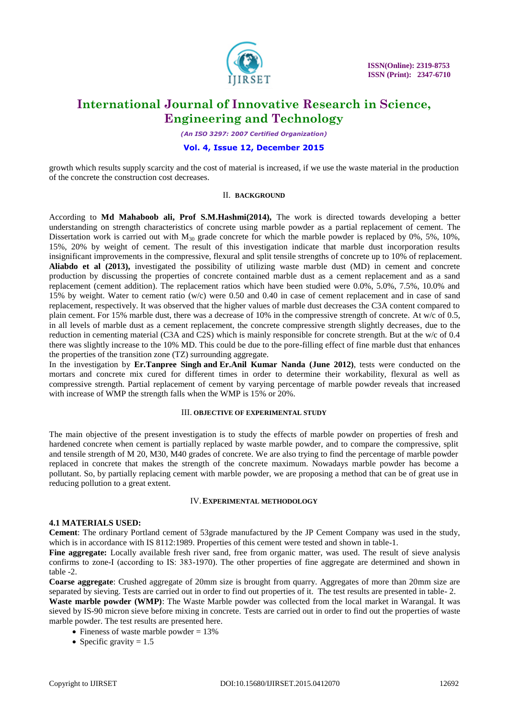

*(An ISO 3297: 2007 Certified Organization)*

#### **Vol. 4, Issue 12, December 2015**

growth which results supply scarcity and the cost of material is increased, if we use the waste material in the production of the concrete the construction cost decreases.

#### II. **BACKGROUND**

According to **Md Mahaboob ali, Prof S.M.Hashmi(2014),** The work is directed towards developing a better understanding on strength characteristics of concrete using marble powder as a partial replacement of cement. The Dissertation work is carried out with  $M_{30}$  grade concrete for which the marble powder is replaced by 0%, 5%, 10%, 15%, 20% by weight of cement. The result of this investigation indicate that marble dust incorporation results insignificant improvements in the compressive, flexural and split tensile strengths of concrete up to 10% of replacement. **Aliabdo et al (2013),** investigated the possibility of utilizing waste marble dust (MD) in cement and concrete production by discussing the properties of concrete contained marble dust as a cement replacement and as a sand replacement (cement addition). The replacement ratios which have been studied were 0.0%, 5.0%, 7.5%, 10.0% and 15% by weight. Water to cement ratio (w/c) were 0.50 and 0.40 in case of cement replacement and in case of sand replacement, respectively. It was observed that the higher values of marble dust decreases the C3A content compared to plain cement. For 15% marble dust, there was a decrease of 10% in the compressive strength of concrete. At w/c of 0.5, in all levels of marble dust as a cement replacement, the concrete compressive strength slightly decreases, due to the reduction in cementing material (C3A and C2S) which is mainly responsible for concrete strength. But at the w/c of 0.4 there was slightly increase to the 10% MD. This could be due to the pore-filling effect of fine marble dust that enhances the properties of the transition zone (TZ) surrounding aggregate.

In the investigation by **Er.Tanpree Singh and Er.Anil Kumar Nanda (June 2012)**, tests were conducted on the mortars and concrete mix cured for different times in order to determine their workability, flexural as well as compressive strength. Partial replacement of cement by varying percentage of marble powder reveals that increased with increase of WMP the strength falls when the WMP is 15% or 20%.

#### III. **OBJECTIVE OF EXPERIMENTAL STUDY**

The main objective of the present investigation is to study the effects of marble powder on properties of fresh and hardened concrete when cement is partially replaced by waste marble powder, and to compare the compressive, split and tensile strength of M 20, M30, M40 grades of concrete. We are also trying to find the percentage of marble powder replaced in concrete that makes the strength of the concrete maximum. Nowadays marble powder has become a pollutant. So, by partially replacing cement with marble powder, we are proposing a method that can be of great use in reducing pollution to a great extent.

### IV.**EXPERIMENTAL METHODOLOGY**

#### **4.1 MATERIALS USED:**

**Cement**: The ordinary Portland cement of 53grade manufactured by the JP Cement Company was used in the study, which is in accordance with IS 8112:1989. Properties of this cement were tested and shown in table-1.

**Fine aggregate:** Locally available fresh river sand, free from organic matter, was used. The result of sieve analysis confirms to zone-Ι (according to IS: 383-1970). The other properties of fine aggregate are determined and shown in table -2.

**Coarse aggregate**: Crushed aggregate of 20mm size is brought from quarry. Aggregates of more than 20mm size are separated by sieving. Tests are carried out in order to find out properties of it. The test results are presented in table- 2.

**Waste marble powder (WMP)**: The Waste Marble powder was collected from the local market in Warangal. It was sieved by IS-90 micron sieve before mixing in concrete. Tests are carried out in order to find out the properties of waste marble powder. The test results are presented here.

- Fineness of waste marble powder  $= 13\%$
- Specific gravity  $= 1.5$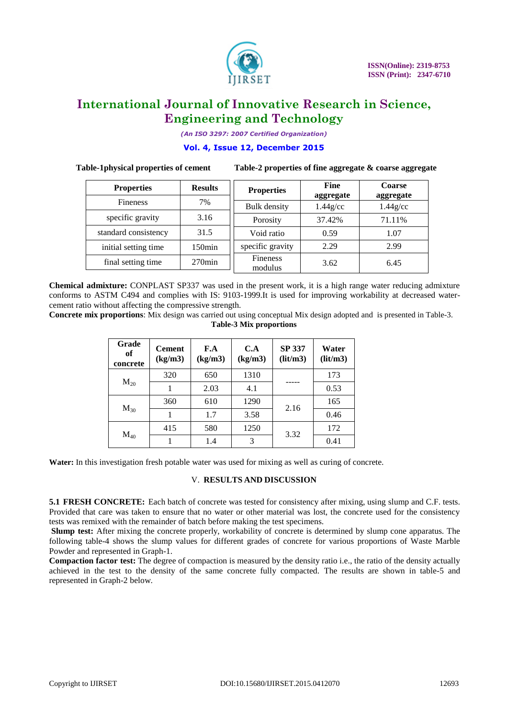

*(An ISO 3297: 2007 Certified Organization)*

### **Vol. 4, Issue 12, December 2015**

**Table-1physical properties of cement Table-2 properties of fine aggregate & coarse aggregate**

| <b>Properties</b>    | <b>Results</b> | <b>Properties</b>          | Fine<br>aggregate | <b>Coarse</b><br>aggregate |
|----------------------|----------------|----------------------------|-------------------|----------------------------|
| <b>Fineness</b>      | 7%             | Bulk density               | $1.44$ g/cc       | $1.44$ g/cc                |
| specific gravity     | 3.16           | Porosity                   | 37.42%            | 71.11%                     |
| standard consistency | 31.5           | Void ratio                 | 0.59              | 1.07                       |
| initial setting time | $150$ min      | specific gravity           | 2.29              | 2.99                       |
| final setting time   | $270$ min      | <b>Fineness</b><br>modulus | 3.62              | 6.45                       |

**Chemical admixture:** CONPLAST SP337 was used in the present work, it is a high range water reducing admixture conforms to ASTM C494 and complies with IS: 9103-1999.It is used for improving workability at decreased watercement ratio without affecting the compressive strength.

**Concrete mix proportions**: Mix design was carried out using conceptual Mix design adopted and is presented in Table-3. **Table-3 Mix proportions**

| Grade<br>of<br>concrete | <b>Cement</b><br>(kg/m3) | F.A<br>(kg/m3) | C.A<br>(kg/m3) | <b>SP 337</b><br>(lit/m3) | Water<br>(lit/m3) |
|-------------------------|--------------------------|----------------|----------------|---------------------------|-------------------|
|                         | 320                      | 650            | 1310           |                           | 173               |
| $M_{20}$                | 1                        | 2.03           | 4.1            |                           | 0.53              |
|                         | 360                      | 610            | 1290           |                           | 165               |
| $M_{30}$                |                          | 1.7            | 3.58           | 2.16                      | 0.46              |
| $M_{40}$                | 415                      | 580            | 1250           | 3.32                      | 172               |
|                         |                          | 1.4            | 3              |                           | 0.41              |

**Water:** In this investigation fresh potable water was used for mixing as well as curing of concrete.

### V. **RESULTS AND DISCUSSION**

**5.1 FRESH CONCRETE:** Each batch of concrete was tested for consistency after mixing, using slump and C.F. tests. Provided that care was taken to ensure that no water or other material was lost, the concrete used for the consistency tests was remixed with the remainder of batch before making the test specimens.

**Slump test:** After mixing the concrete properly, workability of concrete is determined by slump cone apparatus. The following table-4 shows the slump values for different grades of concrete for various proportions of Waste Marble Powder and represented in Graph-1.

**Compaction factor test:** The degree of compaction is measured by the density ratio i.e., the ratio of the density actually achieved in the test to the density of the same concrete fully compacted. The results are shown in table-5 and represented in Graph-2 below.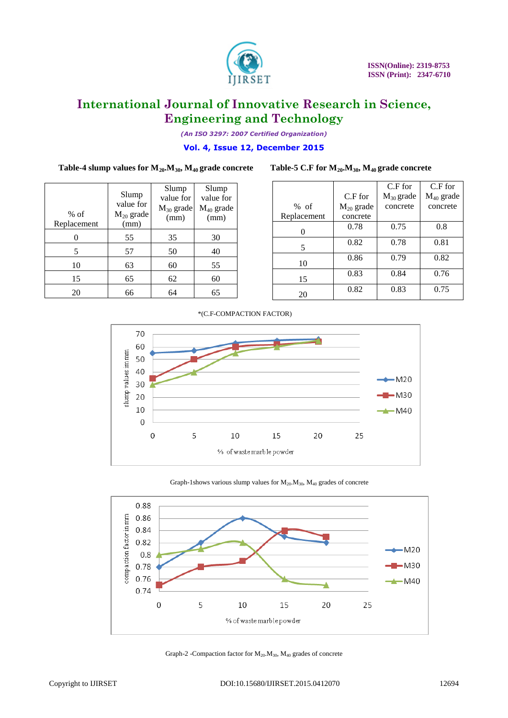

*(An ISO 3297: 2007 Certified Organization)*

### **Vol. 4, Issue 12, December 2015**

### **Table-4 slump values for M20.M30, M40 grade concrete Table-5 C.F for M20.M30, M40 grade concrete**

Slump

Slump

|             |                | C.F for        | $C.F$ for      |
|-------------|----------------|----------------|----------------|
|             | $C.F$ for      | $M_{30}$ grade | $M_{40}$ grade |
| % of        | $M_{20}$ grade | concrete       | concrete       |
| Replacement | concrete       |                |                |
|             | 0.78           | 0.75           | 0.8            |
| 5           | 0.82           | 0.78           | 0.81           |
| 10          | 0.86           | 0.79           | 0.82           |
| 15          | 0.83           | 0.84           | 0.76           |
| 20          | 0.82           | 0.83           | 0.75           |

| $%$ of<br>Replacement | Slump<br>value for<br>$M_{20}$ grade<br>(mm) | value for<br>$M_{30}$ grade<br>(mm) | value for<br>$M_{40}$ grade<br>(mm) |
|-----------------------|----------------------------------------------|-------------------------------------|-------------------------------------|
|                       | 55                                           | 35                                  | 30                                  |
| 5                     | 57                                           | 50                                  | 40                                  |
| 10                    | 63                                           | 60                                  | 55                                  |
| 15                    | 65                                           | 62                                  | 60                                  |
| 20                    | 66                                           | 64                                  | 65                                  |
|                       |                                              |                                     |                                     |

Slump

#### \*(C.F-COMPACTION FACTOR)



#### Graph-1shows various slump values for  $M_{20}.M_{30}$ ,  $M_{40}$  grades of concrete



Graph-2 -Compaction factor for M20.M30, M<sup>40</sup> grades of concrete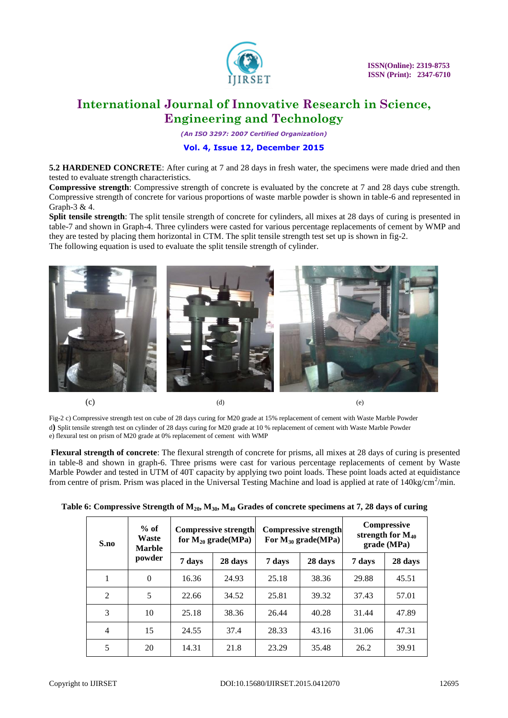

*(An ISO 3297: 2007 Certified Organization)*

### **Vol. 4, Issue 12, December 2015**

**5.2 HARDENED CONCRETE**: After curing at 7 and 28 days in fresh water, the specimens were made dried and then tested to evaluate strength characteristics.

**Compressive strength**: Compressive strength of concrete is evaluated by the concrete at 7 and 28 days cube strength. Compressive strength of concrete for various proportions of waste marble powder is shown in table-6 and represented in Graph-3 & 4.

**Split tensile strength**: The split tensile strength of concrete for cylinders, all mixes at 28 days of curing is presented in table-7 and shown in Graph-4. Three cylinders were casted for various percentage replacements of cement by WMP and they are tested by placing them horizontal in CTM. The split tensile strength test set up is shown in fig-2. The following equation is used to evaluate the split tensile strength of cylinder.



Fig-2 c) Compressive strength test on cube of 28 days curing for M20 grade at 15% replacement of cement with Waste Marble Powder d**)** Split tensile strength test on cylinder of 28 days curing for M20 grade at 10 % replacement of cement with Waste Marble Powder e) flexural test on prism of M20 grade at 0% replacement of cement with WMP

**Flexural strength of concrete**: The flexural strength of concrete for prisms, all mixes at 28 days of curing is presented in table-8 and shown in graph-6. Three prisms were cast for various percentage replacements of cement by Waste Marble Powder and tested in UTM of 40T capacity by applying two point loads. These point loads acted at equidistance from centre of prism. Prism was placed in the Universal Testing Machine and load is applied at rate of  $140\text{kg/cm}^2/\text{min}$ .

| Table 6: Compressive Strength of $\mathbf{M}_{20}$ , $\mathbf{M}_{30}$ , $\mathbf{M}_{40}$ Grades of concrete specimens at 7, 28 days of curing |  |  |
|-------------------------------------------------------------------------------------------------------------------------------------------------|--|--|
|-------------------------------------------------------------------------------------------------------------------------------------------------|--|--|

| $%$ of<br>Waste<br>S.no<br><b>Marble</b> |          | Compressive strength<br>for $M_{20}$ grade(MPa) |         | <b>Compressive strength</b><br>For $M_{30}$ grade(MPa) |         | <b>Compressive</b><br>strength for $M_{40}$<br>grade (MPa) |         |
|------------------------------------------|----------|-------------------------------------------------|---------|--------------------------------------------------------|---------|------------------------------------------------------------|---------|
|                                          | powder   | 7 days                                          | 28 days | 7 days                                                 | 28 days | 7 days                                                     | 28 days |
| 1                                        | $\Omega$ | 16.36                                           | 24.93   | 25.18                                                  | 38.36   | 29.88                                                      | 45.51   |
| $\mathfrak{D}$                           | 5        | 22.66                                           | 34.52   | 25.81                                                  | 39.32   | 37.43                                                      | 57.01   |
| 3                                        | 10       | 25.18                                           | 38.36   | 26.44                                                  | 40.28   | 31.44                                                      | 47.89   |
| 4                                        | 15       | 24.55                                           | 37.4    | 28.33                                                  | 43.16   | 31.06                                                      | 47.31   |
| 5                                        | 20       | 14.31                                           | 21.8    | 23.29                                                  | 35.48   | 26.2                                                       | 39.91   |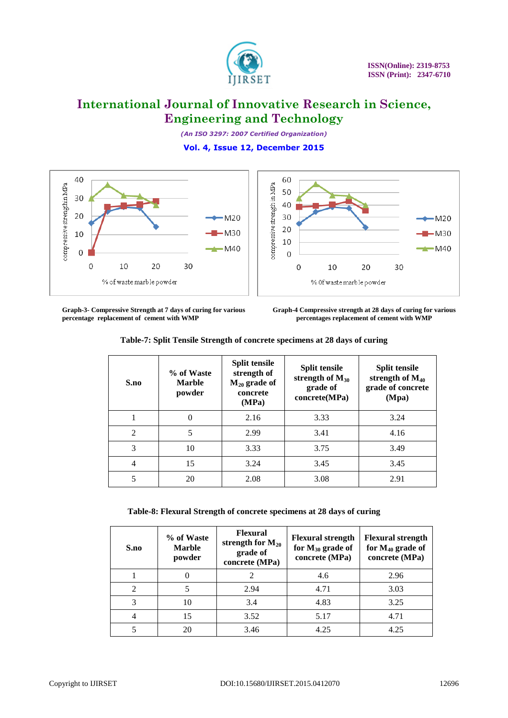

*(An ISO 3297: 2007 Certified Organization)* **Vol. 4, Issue 12, December 2015**





**Graph-3- Compressive Strength at 7 days of curing for various percentage replacement of cement with WMP** 

**Graph-4 Compressive strength at 28 days of curing for various percentages replacement of cement with WMP**

| S.no           | % of Waste<br><b>Marble</b><br>powder | <b>Split tensile</b><br>strength of<br>$M_{20}$ grade of<br>concrete<br>(MPa) | <b>Split tensile</b><br>strength of $M_{30}$<br>grade of<br>concrete(MPa) | <b>Split tensile</b><br>strength of $M_{40}$<br>grade of concrete<br>(Mpa) |
|----------------|---------------------------------------|-------------------------------------------------------------------------------|---------------------------------------------------------------------------|----------------------------------------------------------------------------|
|                | $\theta$                              | 2.16                                                                          | 3.33                                                                      | 3.24                                                                       |
| $\mathfrak{D}$ | 5                                     | 2.99                                                                          | 3.41                                                                      | 4.16                                                                       |
| 3              | 10                                    | 3.33                                                                          | 3.75                                                                      | 3.49                                                                       |
| 4              | 15                                    | 3.24                                                                          | 3.45                                                                      | 3.45                                                                       |
| 5              | 20                                    | 2.08                                                                          | 3.08                                                                      | 2.91                                                                       |

**Table-7: Split Tensile Strength of concrete specimens at 28 days of curing**

**Table-8: Flexural Strength of concrete specimens at 28 days of curing**

| S.no                        | % of Waste<br><b>Marble</b><br>powder | <b>Flexural</b><br>strength for $M_{20}$<br>grade of<br>concrete (MPa) | <b>Flexural strength</b><br>for $M_{30}$ grade of<br>concrete (MPa) | <b>Flexural strength</b><br>for $M_{40}$ grade of<br>concrete (MPa) |
|-----------------------------|---------------------------------------|------------------------------------------------------------------------|---------------------------------------------------------------------|---------------------------------------------------------------------|
|                             |                                       |                                                                        | 4.6                                                                 | 2.96                                                                |
| $\mathcal{D}_{\mathcal{L}}$ |                                       | 2.94                                                                   | 4.71                                                                | 3.03                                                                |
|                             | 10                                    | 3.4                                                                    | 4.83                                                                | 3.25                                                                |
|                             | 15                                    | 3.52                                                                   | 5.17                                                                | 4.71                                                                |
|                             | 20                                    | 3.46                                                                   | 4.25                                                                | 4.25                                                                |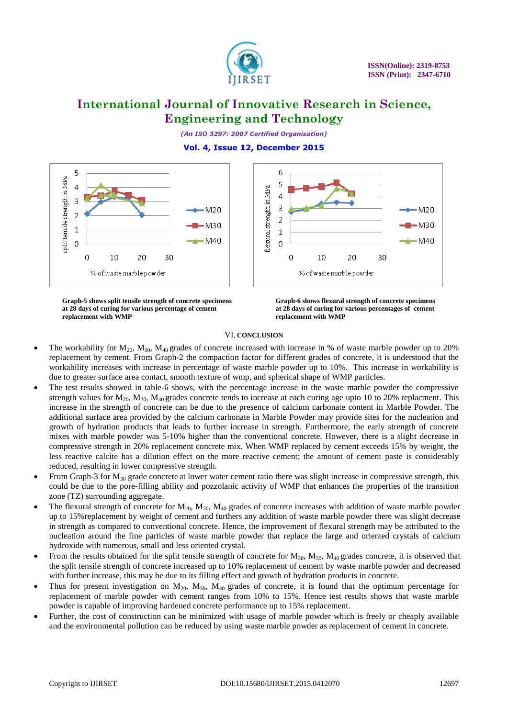

 $M20$ 

M30

 $-M40$ 

# **International Journal of Innovative Research in Science, Engineering and Technology**

*(An ISO 3297: 2007 Certified Organization)* **Vol. 4, Issue 12, December 2015**

6

5

 $\overline{4}$ 

 $\overline{3}$ 

 $\overline{2}$ 

 $\mathbf{1}$ 

 $\overline{0}$ 

 $\mathbf 0$ 

10

% of waste marble powder

lexural strength in MPa



**Graph-5 shows split tensile strength of concrete specimens at 28 days of curing for various percentage of cement replacement with WMP** 

**Graph-6 shows flexural strength of concrete specimens at 28 days of curing for various percentages of cement replacement with WMP** 

20

30

#### VI. **CONCLUSION**

- The workability for  $M_{20}$ ,  $M_{30}$ ,  $M_{40}$  grades of concrete increased with increase in % of waste marble powder up to 20% replacement by cement. From Graph-2 the compaction factor for different grades of concrete, it is understood that the workability increases with increase in percentage of waste marble powder up to 10%. This increase in workability is due to greater surface area contact, smooth texture of wmp, and spherical shape of WMP particles.
- The test results showed in table-6 shows, with the percentage increase in the waste marble powder the compressive strength values for  $M_{20}$ ,  $M_{30}$ ,  $M_{40}$  grades concrete tends to increase at each curing age upto 10 to 20% replacment. This increase in the strength of concrete can be due to the presence of calcium carbonate content in Marble Powder. The additional surface area provided by the calcium carbonate in Marble Powder may provide sites for the nucleation and growth of hydration products that leads to further increase in strength. Furthermore, the early strength of concrete mixes with marble powder was 5-10% higher than the conventional concrete. However, there is a slight decrease in compressive strength in 20% replacement concrete mix. When WMP replaced by cement exceeds 15% by weight, the less reactive calcite has a dilution effect on the more reactive cement; the amount of cement paste is considerably reduced, resulting in lower compressive strength.
- From Graph-3 for  $M_{30}$  grade concrete at lower water cement ratio there was slight increase in compressive strength, this could be due to the pore-filling ability and pozzolanic activity of WMP that enhances the properties of the transition zone (TZ) surrounding aggregate.
- The flexural strength of concrete for  $M_{20}$ ,  $M_{30}$ ,  $M_{40}$  grades of concrete increases with addition of waste marble powder up to 15%replacement by weight of cement and furthers any addition of waste marble powder there was slight decrease in strength as compared to conventional concrete. Hence, the improvement of flexural strength may be attributed to the nucleation around the fine particles of waste marble powder that replace the large and oriented crystals of calcium hydroxide with numerous, small and less oriented crystal.
- From the results obtained for the split tensile strength of concrete for  $M_{20}$ ,  $M_{30}$ ,  $M_{40}$  grades concrete, it is observed that the split tensile strength of concrete increased up to 10% replacement of cement by waste marble powder and decreased with further increase, this may be due to its filling effect and growth of hydration products in concrete.
- Thus for present investigation on  $M_{20}$ ,  $M_{30}$ ,  $M_{40}$  grades of concrete, it is found that the optimum percentage for replacement of marble powder with cement ranges from 10% to 15%. Hence test results shows that waste marble powder is capable of improving hardened concrete performance up to 15% replacement.
- Further, the cost of construction can be minimized with usage of marble powder which is freely or cheaply available and the environmental pollution can be reduced by using waste marble powder as replacement of cement in concrete.